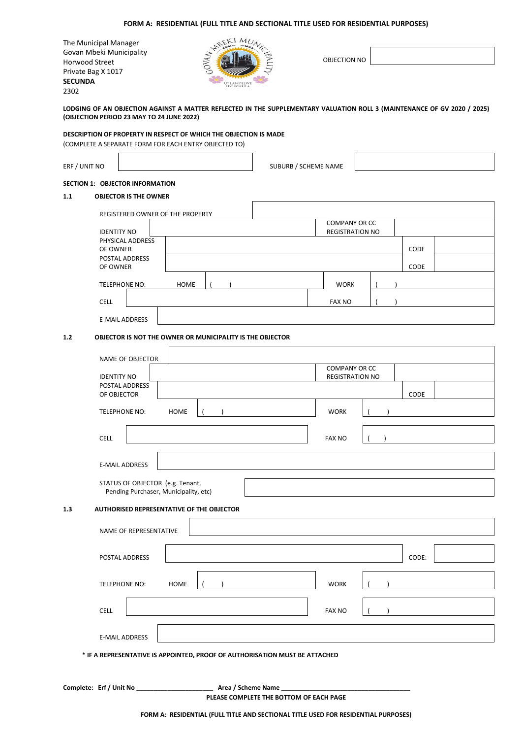# **FORM A: RESIDENTIAL (FULL TITLE AND SECTIONAL TITLE USED FOR RESIDENTIAL PURPOSES)**

The Municipal Manager Govan Mbeki Municipality Horwood Street Private Bag X 1017 **SECUNDA** 2302



OBJECTION NO

**LODGING OF AN OBJECTION AGAINST A MATTER REFLECTED IN THE SUPPLEMENTARY VALUATION ROLL 3 (MAINTENANCE OF GV 2020 / 2025) (OBJECTION PERIOD 23 MAY TO 24 JUNE 2022)**

**DESCRIPTION OF PROPERTY IN RESPECT OF WHICH THE OBJECTION IS MADE**

(COMPLETE A SEPARATE FORM FOR EACH ENTRY OBJECTED TO)

ERF / UNIT NO **SUBURB / SCHEME NAME** 

# **SECTION 1: OBJECTOR INFORMATION**

## **1.1 OBJECTOR IS THE OWNER**

| REGISTERED OWNER OF THE PROPERTY                                            |             |  |                                                |       |  |
|-----------------------------------------------------------------------------|-------------|--|------------------------------------------------|-------|--|
| <b>IDENTITY NO</b>                                                          |             |  | <b>COMPANY OR CC</b><br><b>REGISTRATION NO</b> |       |  |
| PHYSICAL ADDRESS                                                            |             |  |                                                |       |  |
| OF OWNER                                                                    |             |  |                                                | CODE  |  |
| POSTAL ADDRESS<br>OF OWNER                                                  |             |  |                                                | CODE  |  |
|                                                                             |             |  |                                                |       |  |
| TELEPHONE NO:                                                               | <b>HOME</b> |  | <b>WORK</b>                                    |       |  |
| CELL                                                                        |             |  | <b>FAX NO</b>                                  |       |  |
| <b>E-MAIL ADDRESS</b>                                                       |             |  |                                                |       |  |
| 1.2<br>OBJECTOR IS NOT THE OWNER OR MUNICIPALITY IS THE OBJECTOR            |             |  |                                                |       |  |
| NAME OF OBJECTOR                                                            |             |  |                                                |       |  |
|                                                                             |             |  | <b>COMPANY OR CC</b>                           |       |  |
| <b>IDENTITY NO</b>                                                          |             |  | <b>REGISTRATION NO</b>                         |       |  |
| POSTAL ADDRESS<br>OF OBJECTOR                                               |             |  |                                                | CODE  |  |
| TELEPHONE NO:                                                               | HOME        |  | <b>WORK</b>                                    |       |  |
|                                                                             |             |  |                                                |       |  |
| <b>CELL</b>                                                                 |             |  | <b>FAX NO</b>                                  |       |  |
|                                                                             |             |  |                                                |       |  |
| <b>E-MAIL ADDRESS</b>                                                       |             |  |                                                |       |  |
| STATUS OF OBJECTOR (e.g. Tenant,<br>Pending Purchaser, Municipality, etc)   |             |  |                                                |       |  |
| 1.3<br><b>AUTHORISED REPRESENTATIVE OF THE OBJECTOR</b>                     |             |  |                                                |       |  |
| NAME OF REPRESENTATIVE                                                      |             |  |                                                |       |  |
|                                                                             |             |  |                                                |       |  |
| POSTAL ADDRESS                                                              |             |  |                                                | CODE: |  |
|                                                                             |             |  |                                                |       |  |
| TELEPHONE NO:                                                               | <b>HOME</b> |  | <b>WORK</b>                                    |       |  |
|                                                                             |             |  |                                                |       |  |
| CELL                                                                        |             |  | <b>FAX NO</b>                                  |       |  |
| E-MAIL ADDRESS                                                              |             |  |                                                |       |  |
| * IF A REPRESENTATIVE IS APPOINTED, PROOF OF AUTHORISATION MUST BE ATTACHED |             |  |                                                |       |  |
|                                                                             |             |  |                                                |       |  |
|                                                                             |             |  |                                                |       |  |
|                                                                             |             |  |                                                |       |  |

**PLEASE COMPLETE THE BOTTOM OF EACH PAGE**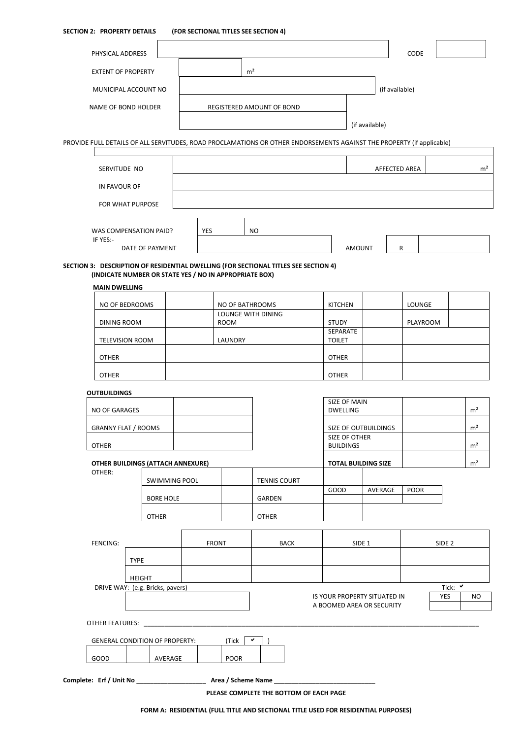## **SECTION 2: PROPERTY DETAILS (FOR SECTIONAL TITLES SEE SECTION 4)**

| PHYSICAL ADDRESS                                                                                                                              |                  |                      |     |                 |                           |                                                           |                   |                             | CODE        |          |                   |                |
|-----------------------------------------------------------------------------------------------------------------------------------------------|------------------|----------------------|-----|-----------------|---------------------------|-----------------------------------------------------------|-------------------|-----------------------------|-------------|----------|-------------------|----------------|
| <b>EXTENT OF PROPERTY</b>                                                                                                                     |                  |                      |     |                 | m <sup>2</sup>            |                                                           |                   |                             |             |          |                   |                |
| MUNICIPAL ACCOUNT NO                                                                                                                          |                  |                      |     |                 |                           |                                                           |                   | (if available)              |             |          |                   |                |
| NAME OF BOND HOLDER                                                                                                                           |                  |                      |     |                 | REGISTERED AMOUNT OF BOND |                                                           |                   |                             |             |          |                   |                |
|                                                                                                                                               |                  |                      |     |                 |                           |                                                           |                   | (if available)              |             |          |                   |                |
| PROVIDE FULL DETAILS OF ALL SERVITUDES, ROAD PROCLAMATIONS OR OTHER ENDORSEMENTS AGAINST THE PROPERTY (if applicable)                         |                  |                      |     |                 |                           |                                                           |                   |                             |             |          |                   |                |
|                                                                                                                                               |                  |                      |     |                 |                           |                                                           |                   |                             |             |          |                   |                |
| SERVITUDE NO                                                                                                                                  |                  |                      |     |                 |                           |                                                           |                   | AFFECTED AREA               |             |          |                   | m <sup>2</sup> |
| IN FAVOUR OF                                                                                                                                  |                  |                      |     |                 |                           |                                                           |                   |                             |             |          |                   |                |
| FOR WHAT PURPOSE                                                                                                                              |                  |                      |     |                 |                           |                                                           |                   |                             |             |          |                   |                |
| WAS COMPENSATION PAID?                                                                                                                        |                  |                      | YES |                 | <b>NO</b>                 |                                                           |                   |                             |             |          |                   |                |
| IF YES:-                                                                                                                                      |                  |                      |     |                 |                           |                                                           |                   |                             |             |          |                   |                |
|                                                                                                                                               | DATE OF PAYMENT  |                      |     |                 |                           |                                                           | <b>AMOUNT</b>     |                             | R           |          |                   |                |
| SECTION 3: DESCRIPTION OF RESIDENTIAL DWELLING (FOR SECTIONAL TITLES SEE SECTION 4)<br>(INDICATE NUMBER OR STATE YES / NO IN APPROPRIATE BOX) |                  |                      |     |                 |                           |                                                           |                   |                             |             |          |                   |                |
| <b>MAIN DWELLING</b>                                                                                                                          |                  |                      |     |                 |                           |                                                           |                   |                             |             |          |                   |                |
| NO OF BEDROOMS                                                                                                                                |                  |                      |     | NO OF BATHROOMS |                           | <b>KITCHEN</b>                                            |                   |                             | LOUNGE      |          |                   |                |
| DINING ROOM                                                                                                                                   |                  |                      |     | <b>ROOM</b>     | LOUNGE WITH DINING        | <b>STUDY</b>                                              |                   |                             |             | PLAYROOM |                   |                |
| <b>TELEVISION ROOM</b>                                                                                                                        |                  |                      |     | LAUNDRY         |                           | SEPARATE<br><b>TOILET</b>                                 |                   |                             |             |          |                   |                |
| <b>OTHER</b>                                                                                                                                  |                  |                      |     |                 |                           | <b>OTHER</b>                                              |                   |                             |             |          |                   |                |
| <b>OTHER</b>                                                                                                                                  |                  |                      |     |                 |                           | <b>OTHER</b>                                              |                   |                             |             |          |                   |                |
| <b>OUTBUILDINGS</b>                                                                                                                           |                  |                      |     |                 |                           |                                                           |                   |                             |             |          |                   |                |
| NO OF GARAGES                                                                                                                                 |                  |                      |     |                 |                           | SIZE OF MAIN<br><b>DWELLING</b>                           |                   |                             |             |          |                   | m <sup>2</sup> |
| <b>GRANNY FLAT / ROOMS</b>                                                                                                                    |                  |                      |     |                 |                           |                                                           |                   | <b>SIZE OF OUTBUILDINGS</b> |             |          |                   | m <sup>2</sup> |
| <b>OTHER</b>                                                                                                                                  |                  |                      |     |                 |                           | SIZE OF OTHER<br><b>BUILDINGS</b>                         |                   |                             |             |          |                   | m <sup>2</sup> |
| OTHER BUILDINGS (ATTACH ANNEXURE)                                                                                                             |                  |                      |     |                 |                           | <b>TOTAL BUILDING SIZE</b>                                |                   |                             |             |          |                   | m <sup>2</sup> |
| OTHER:                                                                                                                                        |                  |                      |     |                 |                           |                                                           |                   |                             |             |          |                   |                |
|                                                                                                                                               |                  | <b>SWIMMING POOL</b> |     |                 | <b>TENNIS COURT</b>       | GOOD                                                      |                   | AVERAGE                     | <b>POOR</b> |          |                   |                |
|                                                                                                                                               | <b>BORE HOLE</b> |                      |     |                 | GARDEN                    |                                                           |                   |                             |             |          |                   |                |
|                                                                                                                                               | <b>OTHER</b>     |                      |     |                 | <b>OTHER</b>              |                                                           |                   |                             |             |          |                   |                |
| FENCING:                                                                                                                                      |                  |                      |     | <b>FRONT</b>    | <b>BACK</b>               |                                                           | SIDE <sub>1</sub> |                             |             |          | SIDE <sub>2</sub> |                |
|                                                                                                                                               | <b>TYPE</b>      |                      |     |                 |                           |                                                           |                   |                             |             |          |                   |                |
|                                                                                                                                               | <b>HEIGHT</b>    |                      |     |                 |                           |                                                           |                   |                             |             |          |                   |                |
| DRIVE WAY: (e.g. Bricks, pavers)                                                                                                              |                  |                      |     |                 |                           |                                                           |                   |                             |             |          | Tick: V           |                |
|                                                                                                                                               |                  |                      |     |                 |                           | IS YOUR PROPERTY SITUATED IN<br>A BOOMED AREA OR SECURITY |                   |                             |             |          | YES               | NO.            |

|      | <b>GENERAL CONDITION OF PROPERTY:</b> | (Tick       | ×. |  |
|------|---------------------------------------|-------------|----|--|
| GOOD | AVERAGE                               | <b>POOR</b> |    |  |

**Complete: Erf / Unit No \_\_\_\_\_\_\_\_\_\_\_\_\_\_\_\_\_\_\_\_ Area / Scheme Name \_\_\_\_\_\_\_\_\_\_\_\_\_\_\_\_\_\_\_\_\_\_\_\_\_\_\_\_\_**

OTHER FEATURES: \_\_\_\_\_\_\_\_\_\_\_\_\_\_\_\_\_\_\_\_\_\_\_\_\_\_\_\_\_\_\_\_\_\_\_\_\_\_\_\_\_\_\_\_\_\_\_\_\_\_\_\_\_\_\_\_\_\_\_\_\_\_\_\_\_\_\_\_\_\_\_\_\_\_\_\_\_\_\_\_\_\_\_\_\_\_\_\_\_\_\_\_\_\_\_\_

**PLEASE COMPLETE THE BOTTOM OF EACH PAGE**

**FORM A: RESIDENTIAL (FULL TITLE AND SECTIONAL TITLE USED FOR RESIDENTIAL PURPOSES)**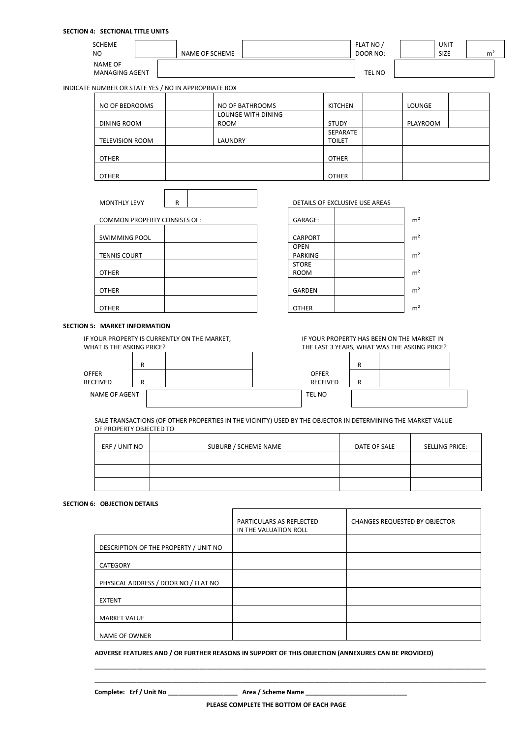## **SECTION 4: SECTIONAL TITLE UNITS**

| <b>SCHEME</b><br>N <sub>O</sub>         | NAME OF SCHEME | FLAT NO<br>DOOR NO: | <b>UNIT</b><br><b>SIZE</b> | m <sup>2</sup> |
|-----------------------------------------|----------------|---------------------|----------------------------|----------------|
| <b>NAME OF</b><br><b>MANAGING AGENT</b> |                | <b>TEL NO</b>       |                            |                |

INDICATE NUMBER OR STATE YES / NO IN APPROPRIATE BOX

| NO OF BEDROOMS         | NO OF BATHROOMS    | KITCHEN       | LOUNGE   |  |
|------------------------|--------------------|---------------|----------|--|
|                        | LOUNGE WITH DINING |               |          |  |
| DINING ROOM            | <b>ROOM</b>        | <b>STUDY</b>  | PLAYROOM |  |
|                        |                    | SEPARATE      |          |  |
| <b>TELEVISION ROOM</b> | LAUNDRY            | <b>TOILET</b> |          |  |
|                        |                    |               |          |  |
| <b>OTHER</b>           |                    | <b>OTHER</b>  |          |  |
|                        |                    |               |          |  |
| <b>OTHER</b>           |                    | <b>OTHER</b>  |          |  |

| <b>COMMON PROPERTY CONSISTS OF:</b> | GARAGE:        | m <sup>2</sup> |
|-------------------------------------|----------------|----------------|
|                                     |                |                |
| <b>SWIMMING POOL</b>                | <b>CARPORT</b> | m <sup>2</sup> |
|                                     | <b>OPEN</b>    |                |
| <b>TENNIS COURT</b>                 | <b>PARKING</b> | m <sup>2</sup> |
|                                     | <b>STORE</b>   |                |
| <b>OTHER</b>                        | <b>ROOM</b>    | m <sup>2</sup> |
|                                     |                |                |
| <b>OTHER</b>                        | <b>GARDEN</b>  | m <sup>2</sup> |
|                                     |                |                |
| <b>OTHER</b>                        | <b>OTHER</b>   | m <sup>2</sup> |

MONTHLY LEVY R R R REAS

| GARAGE:        | m <sup>2</sup> |
|----------------|----------------|
| <b>CARPORT</b> | m <sup>2</sup> |
| <b>OPEN</b>    |                |
| <b>PARKING</b> | m <sup>2</sup> |
| <b>STORE</b>   |                |
| <b>ROOM</b>    | m <sup>2</sup> |
| <b>GARDEN</b>  | m <sup>2</sup> |
|                |                |
| <b>OTHER</b>   |                |

#### **SECTION 5: MARKET INFORMATION**

IF YOUR PROPERTY IS CURRENTLY ON THE MARKET, WHAT IS THE ASKING PRICE?

|                      | R |  |                                 | R |
|----------------------|---|--|---------------------------------|---|
| OFFER<br>RECEIVED    | R |  | <b>OFFER</b><br><b>RECEIVED</b> | R |
| <b>NAME OF AGENT</b> |   |  | <b>TEL NO</b>                   |   |

IF YOUR PROPERTY HAS BEEN ON THE MARKET IN THE LAST 3 YEARS, WHAT WAS THE ASKING PRICE?

| <b>OFFER</b><br><b>RECEIVED</b> |  |  |
|---------------------------------|--|--|
| EL NO                           |  |  |
|                                 |  |  |

SALE TRANSACTIONS (OF OTHER PROPERTIES IN THE VICINITY) USED BY THE OBJECTOR IN DETERMINING THE MARKET VALUE OF PROPERTY OBJECTED TO

| ERF / UNIT NO | SUBURB / SCHEME NAME | DATE OF SALE | <b>SELLING PRICE:</b> |
|---------------|----------------------|--------------|-----------------------|
|               |                      |              |                       |
|               |                      |              |                       |
|               |                      |              |                       |

## **SECTION 6: OBJECTION DETAILS**

|                                       | <b>PARTICULARS AS REFLECTED</b><br>IN THE VALUATION ROLL | <b>CHANGES REQUESTED BY OBJECTOR</b> |
|---------------------------------------|----------------------------------------------------------|--------------------------------------|
| DESCRIPTION OF THE PROPERTY / UNIT NO |                                                          |                                      |
| <b>CATEGORY</b>                       |                                                          |                                      |
| PHYSICAL ADDRESS / DOOR NO / FLAT NO  |                                                          |                                      |
| <b>EXTENT</b>                         |                                                          |                                      |
| <b>MARKET VALUE</b>                   |                                                          |                                      |
| <b>NAME OF OWNER</b>                  |                                                          |                                      |

**ADVERSE FEATURES AND / OR FURTHER REASONS IN SUPPORT OF THIS OBJECTION (ANNEXURES CAN BE PROVIDED)**

**Complete: Erf / Unit No \_\_\_\_\_\_\_\_\_\_\_\_\_\_\_\_\_\_\_\_ Area / Scheme Name \_\_\_\_\_\_\_\_\_\_\_\_\_\_\_\_\_\_\_\_\_\_\_\_\_\_\_\_\_**

\_\_\_\_\_\_\_\_\_\_\_\_\_\_\_\_\_\_\_\_\_\_\_\_\_\_\_\_\_\_\_\_\_\_\_\_\_\_\_\_\_\_\_\_\_\_\_\_\_\_\_\_\_\_\_\_\_\_\_\_\_\_\_\_\_\_\_\_\_\_\_\_\_\_\_\_\_\_\_\_\_\_\_\_\_\_\_\_\_\_\_\_\_\_\_\_\_\_\_\_\_\_\_\_\_\_\_\_\_\_\_\_ \_\_\_\_\_\_\_\_\_\_\_\_\_\_\_\_\_\_\_\_\_\_\_\_\_\_\_\_\_\_\_\_\_\_\_\_\_\_\_\_\_\_\_\_\_\_\_\_\_\_\_\_\_\_\_\_\_\_\_\_\_\_\_\_\_\_\_\_\_\_\_\_\_\_\_\_\_\_\_\_\_\_\_\_\_\_\_\_\_\_\_\_\_\_\_\_\_\_\_\_\_\_\_\_\_\_\_\_\_\_\_\_